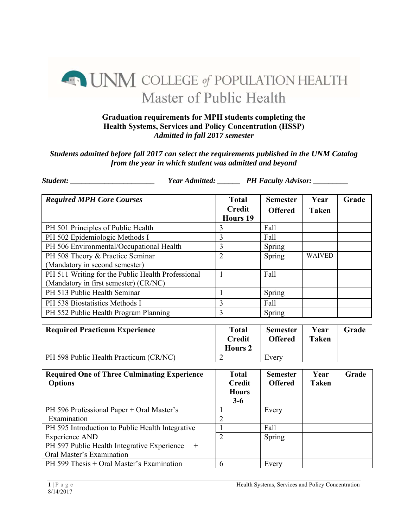## **A MANU COLLEGE of POPULATION HEALTH** Master of Public Health

## **Graduation requirements for MPH students completing the Health Systems, Services and Policy Concentration (HSSP)**  *Admitted in fall 2017 semester*

## *Students admitted before fall 2017 can select the requirements published in the UNM Catalog from the year in which student was admitted and beyond*

*Student: \_\_\_\_\_\_\_\_\_\_\_\_\_\_\_\_\_\_\_\_\_\_ Year Admitted: \_\_\_\_\_\_ PH Faculty Advisor: \_\_\_\_\_\_\_\_\_* 

PH 599 Thesis + Oral Master's Examination  $\begin{array}{|l|l|} \hline 6 & 6 \end{array}$  Every

| <b>Required MPH Core Courses</b>                                                           | <b>Total</b><br><b>Credit</b><br><b>Hours 19</b>       | <b>Semester</b><br><b>Offered</b> | Year<br><b>Taken</b> | Grade |
|--------------------------------------------------------------------------------------------|--------------------------------------------------------|-----------------------------------|----------------------|-------|
| PH 501 Principles of Public Health                                                         | 3                                                      | Fall                              |                      |       |
| PH 502 Epidemiologic Methods I                                                             | 3                                                      | Fall                              |                      |       |
| PH 506 Environmental/Occupational Health                                                   | $\overline{3}$                                         | Spring                            |                      |       |
| PH 508 Theory & Practice Seminar<br>(Mandatory in second semester)                         | $\overline{2}$                                         | Spring                            | <b>WAIVED</b>        |       |
| PH 511 Writing for the Public Health Professional<br>(Mandatory in first semester) (CR/NC) | $\mathbf{1}$                                           | Fall                              |                      |       |
| PH 513 Public Health Seminar                                                               | $\mathbf{1}$                                           | Spring                            |                      |       |
| PH 538 Biostatistics Methods I                                                             | $\overline{3}$                                         | Fall                              |                      |       |
| PH 552 Public Health Program Planning                                                      | $\overline{3}$                                         | Spring                            |                      |       |
| <b>Required Practicum Experience</b>                                                       | <b>Total</b><br><b>Credit</b><br><b>Hours 2</b>        | <b>Semester</b><br><b>Offered</b> | Year<br><b>Taken</b> | Grade |
| PH 598 Public Health Practicum (CR/NC)                                                     | $\overline{2}$                                         | Every                             |                      |       |
| <b>Required One of Three Culminating Experience</b><br><b>Options</b>                      | <b>Total</b><br><b>Credit</b><br><b>Hours</b><br>$3-6$ | <b>Semester</b><br><b>Offered</b> | Year<br><b>Taken</b> | Grade |
| PH 596 Professional Paper + Oral Master's                                                  | $\mathbf{1}$                                           | Every                             |                      |       |
| Examination                                                                                | $\overline{2}$                                         |                                   |                      |       |
| PH 595 Introduction to Public Health Integrative                                           | $\mathbf{1}$                                           | Fall                              |                      |       |
| <b>Experience AND</b><br>PH 597 Public Health Integrative Experience<br>$^{+}$             | $\overline{2}$                                         | Spring                            |                      |       |

Oral Master's Examination